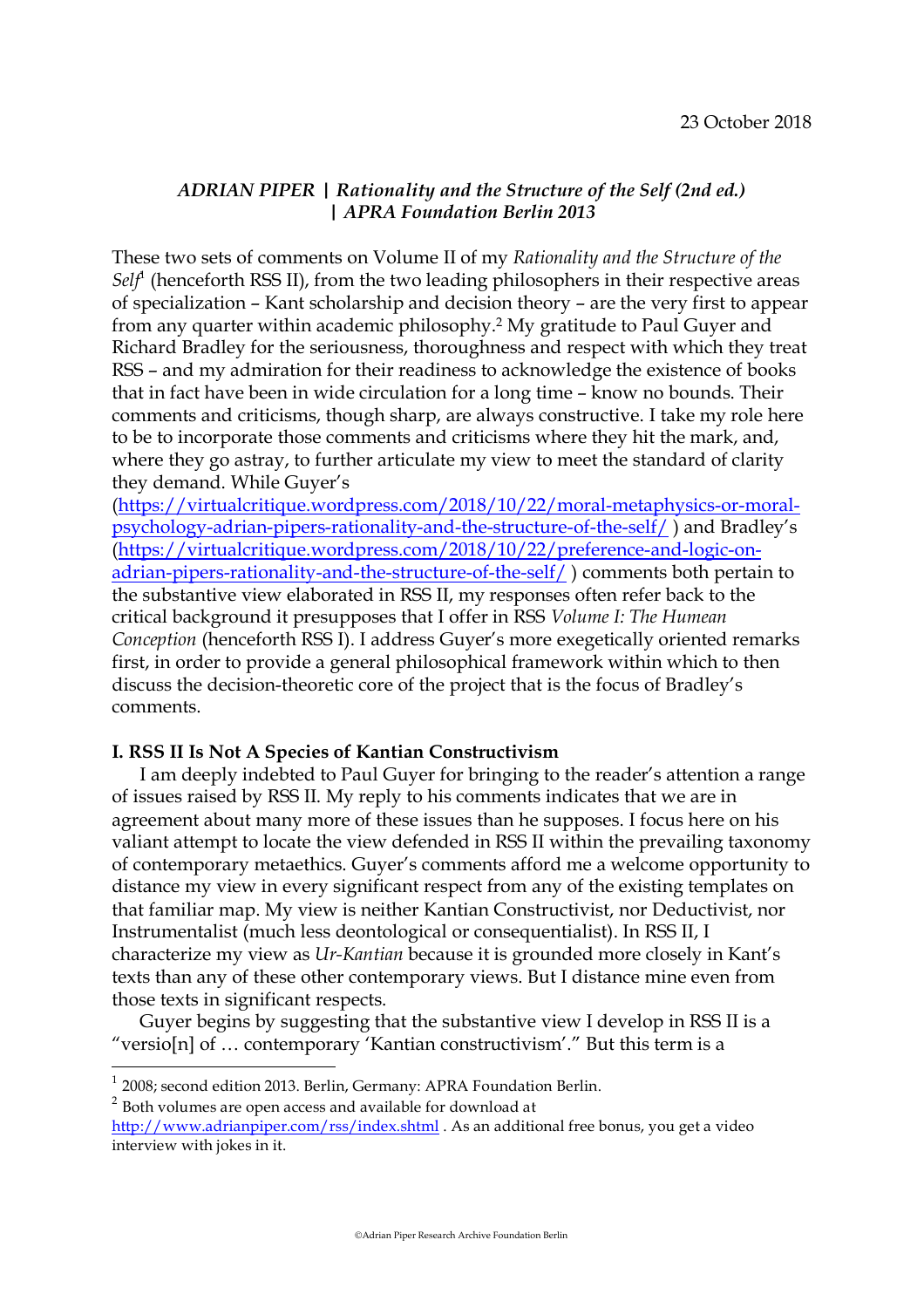# *ADRIAN PIPER | Rationality and the Structure of the Self (2nd ed.) | APRA Foundation Berlin 2013*

These two sets of comments on Volume II of my *Rationality and the Structure of the*  Sel<sup>*f*</sup> (henceforth RSS II), from the two leading philosophers in their respective areas of specialization – Kant scholarship and decision theory – are the very first to appear from any quarter within academic philosophy.2 My gratitude to Paul Guyer and Richard Bradley for the seriousness, thoroughness and respect with which they treat RSS – and my admiration for their readiness to acknowledge the existence of books that in fact have been in wide circulation for a long time – know no bounds. Their comments and criticisms, though sharp, are always constructive. I take my role here to be to incorporate those comments and criticisms where they hit the mark, and, where they go astray, to further articulate my view to meet the standard of clarity they demand. While Guyer's

(https://virtualcritique.wordpress.com/2018/10/22/moral-metaphysics-or-moralpsychology-adrian-pipers-rationality-and-the-structure-of-the-self/ ) and Bradley's (https://virtualcritique.wordpress.com/2018/10/22/preference-and-logic-onadrian-pipers-rationality-and-the-structure-of-the-self/ ) comments both pertain to the substantive view elaborated in RSS II, my responses often refer back to the critical background it presupposes that I offer in RSS *Volume I: The Humean Conception* (henceforth RSS I). I address Guyer's more exegetically oriented remarks first, in order to provide a general philosophical framework within which to then discuss the decision-theoretic core of the project that is the focus of Bradley's comments.

## **I. RSS II Is Not A Species of Kantian Constructivism**

I am deeply indebted to Paul Guyer for bringing to the reader's attention a range of issues raised by RSS II. My reply to his comments indicates that we are in agreement about many more of these issues than he supposes. I focus here on his valiant attempt to locate the view defended in RSS II within the prevailing taxonomy of contemporary metaethics. Guyer's comments afford me a welcome opportunity to distance my view in every significant respect from any of the existing templates on that familiar map. My view is neither Kantian Constructivist, nor Deductivist, nor Instrumentalist (much less deontological or consequentialist). In RSS II, I characterize my view as *Ur-Kantian* because it is grounded more closely in Kant's texts than any of these other contemporary views. But I distance mine even from those texts in significant respects.

Guyer begins by suggesting that the substantive view I develop in RSS II is a "versio[n] of … contemporary 'Kantian constructivism'." But this term is a

 $^{\rm 1}$  2008; second edition 2013. Berlin, Germany: APRA Foundation Berlin.

 $2$  Both volumes are open access and available for download at

http://www.adrianpiper.com/rss/index.shtml . As an additional free bonus, you get a video interview with jokes in it.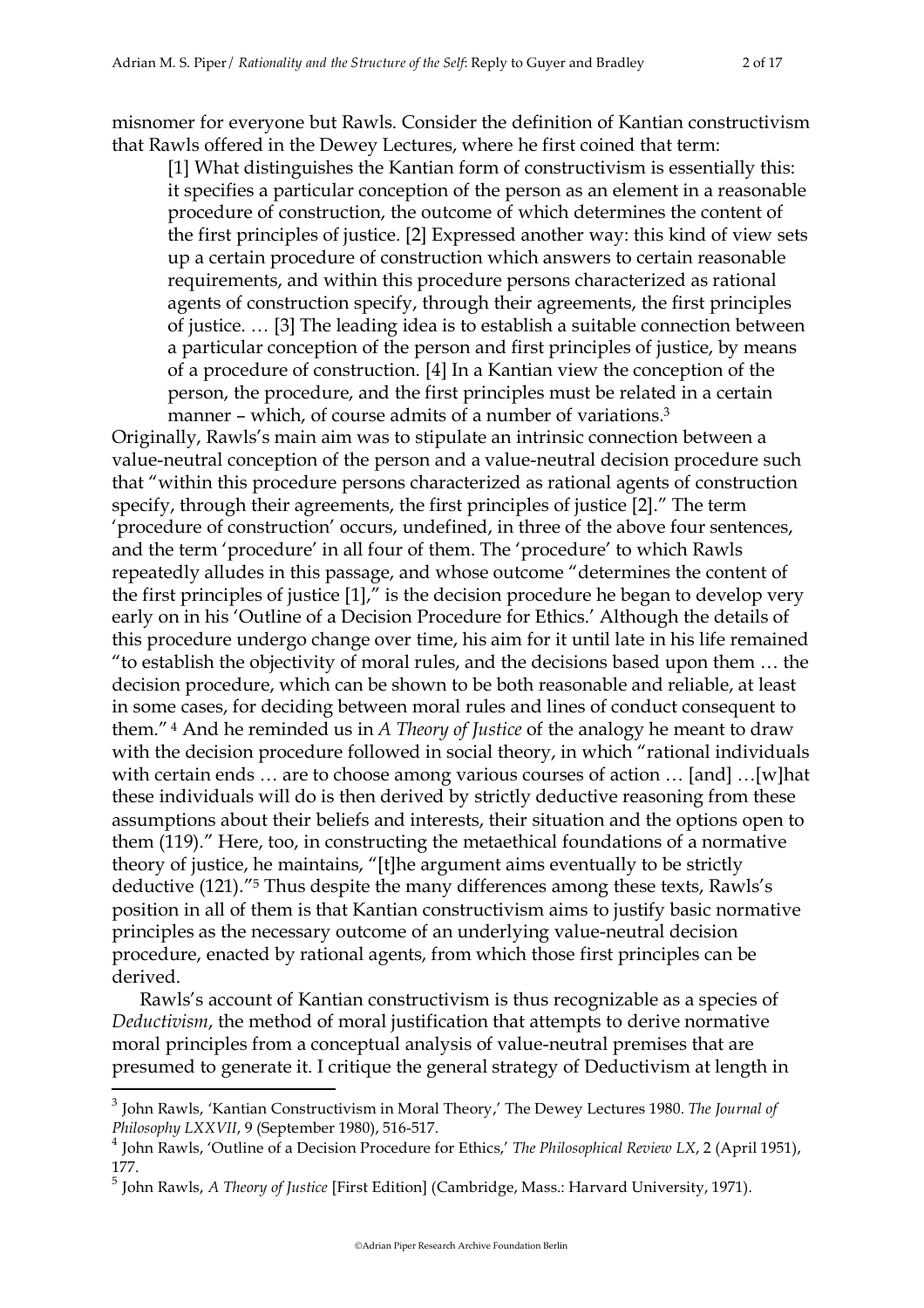misnomer for everyone but Rawls. Consider the definition of Kantian constructivism that Rawls offered in the Dewey Lectures, where he first coined that term:

[1] What distinguishes the Kantian form of constructivism is essentially this: it specifies a particular conception of the person as an element in a reasonable procedure of construction, the outcome of which determines the content of the first principles of justice. [2] Expressed another way: this kind of view sets up a certain procedure of construction which answers to certain reasonable requirements, and within this procedure persons characterized as rational agents of construction specify, through their agreements, the first principles of justice. … [3] The leading idea is to establish a suitable connection between a particular conception of the person and first principles of justice, by means of a procedure of construction. [4] In a Kantian view the conception of the person, the procedure, and the first principles must be related in a certain manner – which, of course admits of a number of variations.<sup>3</sup>

Originally, Rawls's main aim was to stipulate an intrinsic connection between a value-neutral conception of the person and a value-neutral decision procedure such that "within this procedure persons characterized as rational agents of construction specify, through their agreements, the first principles of justice [2]." The term 'procedure of construction' occurs, undefined, in three of the above four sentences, and the term 'procedure' in all four of them. The 'procedure' to which Rawls repeatedly alludes in this passage, and whose outcome "determines the content of the first principles of justice [1]," is the decision procedure he began to develop very early on in his 'Outline of a Decision Procedure for Ethics.' Although the details of this procedure undergo change over time, his aim for it until late in his life remained "to establish the objectivity of moral rules, and the decisions based upon them … the decision procedure, which can be shown to be both reasonable and reliable, at least in some cases, for deciding between moral rules and lines of conduct consequent to them." 4 And he reminded us in *A Theory of Justice* of the analogy he meant to draw with the decision procedure followed in social theory, in which "rational individuals" with certain ends … are to choose among various courses of action … [and] …[w]hat these individuals will do is then derived by strictly deductive reasoning from these assumptions about their beliefs and interests, their situation and the options open to them (119)." Here, too, in constructing the metaethical foundations of a normative theory of justice, he maintains, "[t]he argument aims eventually to be strictly deductive (121)."5 Thus despite the many differences among these texts, Rawls's position in all of them is that Kantian constructivism aims to justify basic normative principles as the necessary outcome of an underlying value-neutral decision procedure, enacted by rational agents, from which those first principles can be derived.

Rawls's account of Kantian constructivism is thus recognizable as a species of *Deductivism*, the method of moral justification that attempts to derive normative moral principles from a conceptual analysis of value-neutral premises that are presumed to generate it. I critique the general strategy of Deductivism at length in

 <sup>3</sup> John Rawls, 'Kantian Constructivism in Moral Theory,' The Dewey Lectures 1980. *The Journal of Philosophy LXXVII*, 9 (September 1980), 516-517.

<sup>4</sup> John Rawls, 'Outline of a Decision Procedure for Ethics,' *The Philosophical Review LX*, 2 (April 1951), 177.

<sup>5</sup> John Rawls, *A Theory of Justice* [First Edition] (Cambridge, Mass.: Harvard University, 1971).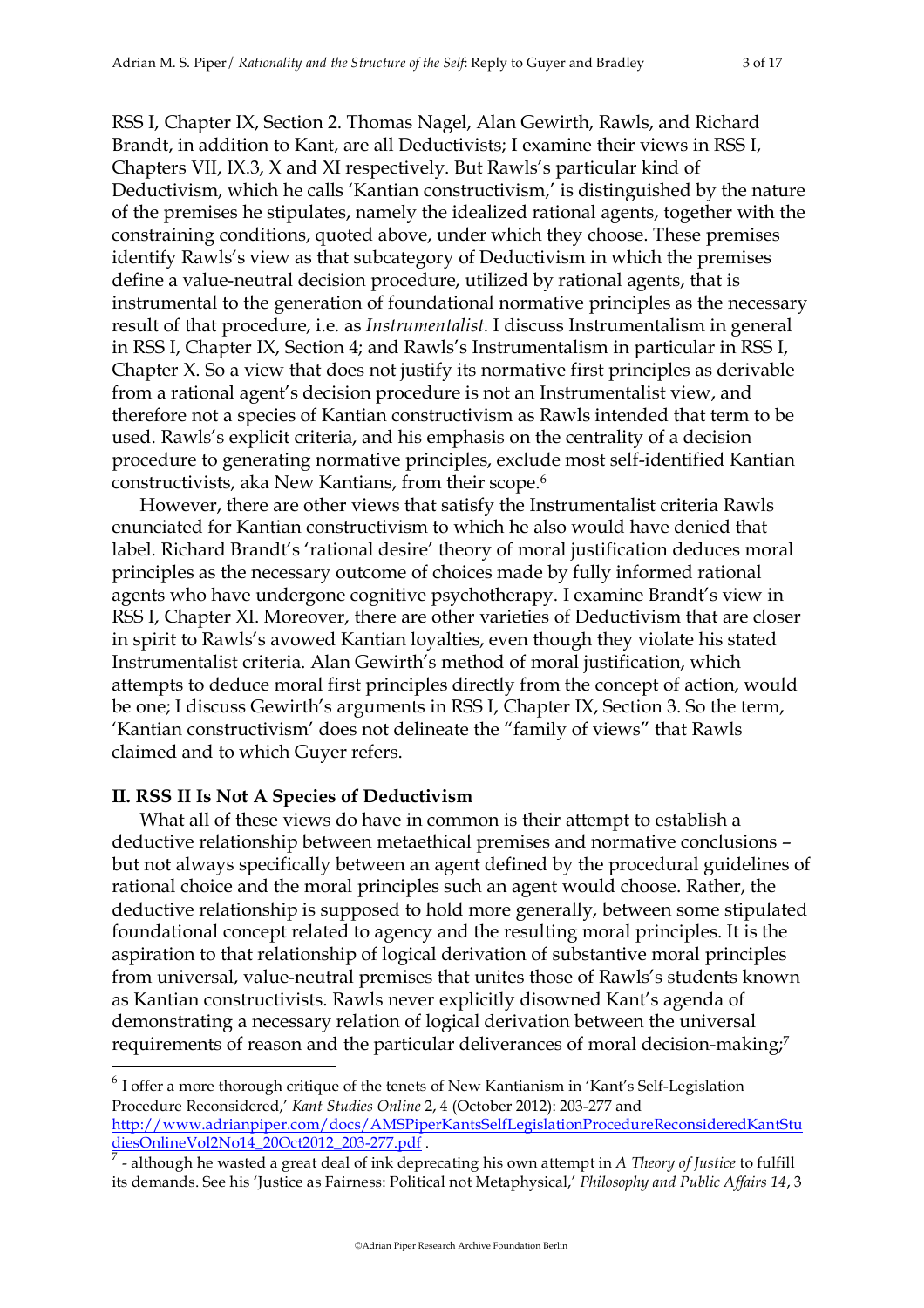RSS I, Chapter IX, Section 2. Thomas Nagel, Alan Gewirth, Rawls, and Richard Brandt, in addition to Kant, are all Deductivists; I examine their views in RSS I, Chapters VII, IX.3, X and XI respectively. But Rawls's particular kind of Deductivism, which he calls 'Kantian constructivism,' is distinguished by the nature of the premises he stipulates, namely the idealized rational agents, together with the constraining conditions, quoted above, under which they choose. These premises identify Rawls's view as that subcategory of Deductivism in which the premises define a value-neutral decision procedure, utilized by rational agents, that is instrumental to the generation of foundational normative principles as the necessary result of that procedure, i.e. as *Instrumentalist*. I discuss Instrumentalism in general in RSS I, Chapter IX, Section 4; and Rawls's Instrumentalism in particular in RSS I, Chapter X. So a view that does not justify its normative first principles as derivable from a rational agent's decision procedure is not an Instrumentalist view, and therefore not a species of Kantian constructivism as Rawls intended that term to be used. Rawls's explicit criteria, and his emphasis on the centrality of a decision procedure to generating normative principles, exclude most self-identified Kantian constructivists, aka New Kantians, from their scope.6

However, there are other views that satisfy the Instrumentalist criteria Rawls enunciated for Kantian constructivism to which he also would have denied that label. Richard Brandt's 'rational desire' theory of moral justification deduces moral principles as the necessary outcome of choices made by fully informed rational agents who have undergone cognitive psychotherapy. I examine Brandt's view in RSS I, Chapter XI. Moreover, there are other varieties of Deductivism that are closer in spirit to Rawls's avowed Kantian loyalties, even though they violate his stated Instrumentalist criteria. Alan Gewirth's method of moral justification, which attempts to deduce moral first principles directly from the concept of action, would be one; I discuss Gewirth's arguments in RSS I, Chapter IX, Section 3. So the term, 'Kantian constructivism' does not delineate the "family of views" that Rawls claimed and to which Guyer refers.

### **II. RSS II Is Not A Species of Deductivism**

What all of these views do have in common is their attempt to establish a deductive relationship between metaethical premises and normative conclusions – but not always specifically between an agent defined by the procedural guidelines of rational choice and the moral principles such an agent would choose. Rather, the deductive relationship is supposed to hold more generally, between some stipulated foundational concept related to agency and the resulting moral principles. It is the aspiration to that relationship of logical derivation of substantive moral principles from universal, value-neutral premises that unites those of Rawls's students known as Kantian constructivists. Rawls never explicitly disowned Kant's agenda of demonstrating a necessary relation of logical derivation between the universal requirements of reason and the particular deliverances of moral decision-making;<sup>7</sup>

 $6$  I offer a more thorough critique of the tenets of New Kantianism in 'Kant's Self-Legislation Procedure Reconsidered,' *Kant Studies Online* 2, 4 (October 2012): 203-277 and http://www.adrianpiper.com/docs/AMSPiperKantsSelfLegislationProcedureReconsideredKantStu diesOnlineVol2No14\_20Oct2012\_203-277.pdf .

<sup>7</sup> - although he wasted a great deal of ink deprecating his own attempt in *A Theory of Justice* to fulfill its demands. See his 'Justice as Fairness: Political not Metaphysical,' *Philosophy and Public Affairs 14*, 3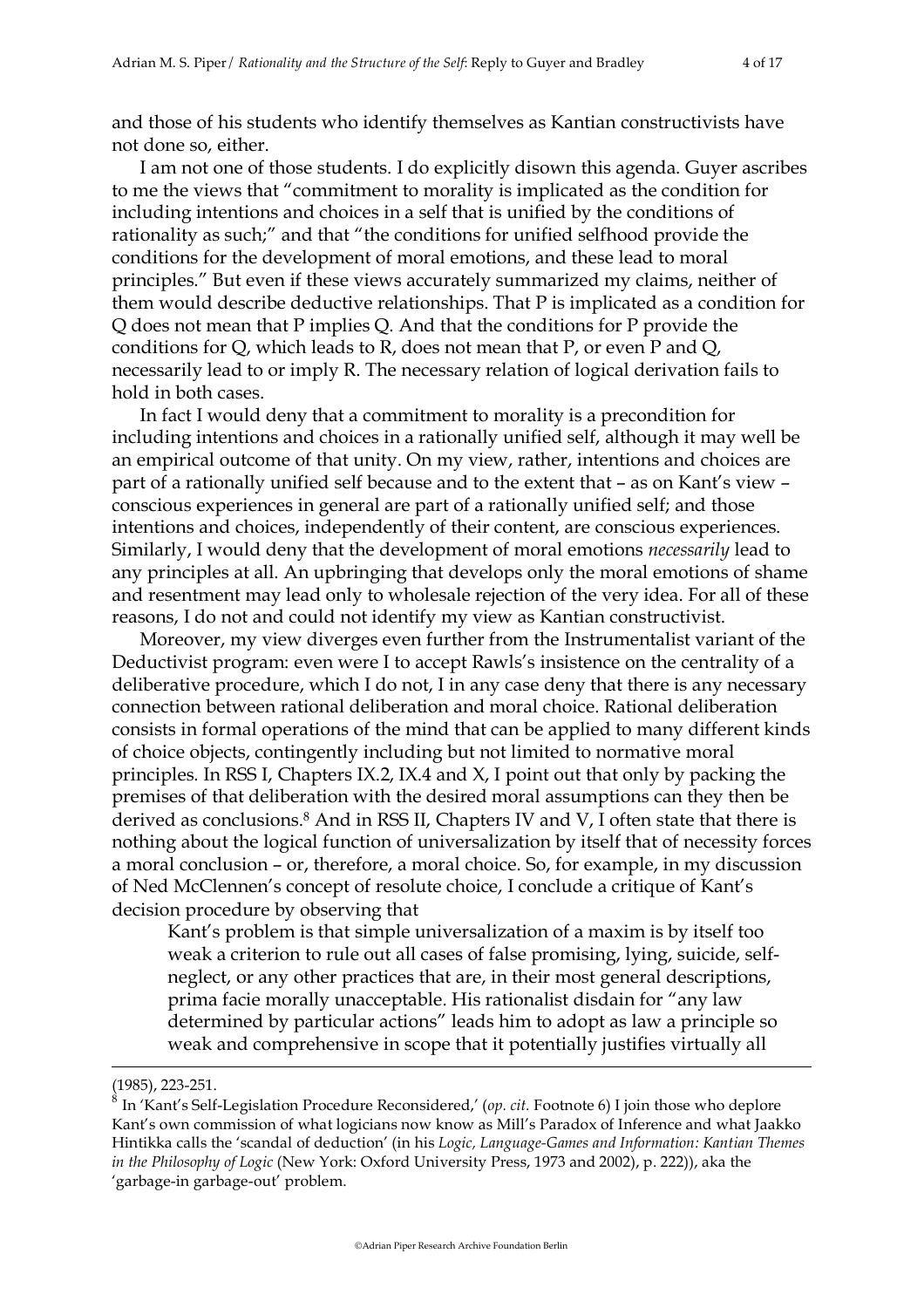and those of his students who identify themselves as Kantian constructivists have not done so, either.

I am not one of those students. I do explicitly disown this agenda. Guyer ascribes to me the views that "commitment to morality is implicated as the condition for including intentions and choices in a self that is unified by the conditions of rationality as such;" and that "the conditions for unified selfhood provide the conditions for the development of moral emotions, and these lead to moral principles." But even if these views accurately summarized my claims, neither of them would describe deductive relationships. That P is implicated as a condition for Q does not mean that P implies Q. And that the conditions for P provide the conditions for Q, which leads to R, does not mean that P, or even P and Q, necessarily lead to or imply R. The necessary relation of logical derivation fails to hold in both cases.

In fact I would deny that a commitment to morality is a precondition for including intentions and choices in a rationally unified self, although it may well be an empirical outcome of that unity. On my view, rather, intentions and choices are part of a rationally unified self because and to the extent that – as on Kant's view – conscious experiences in general are part of a rationally unified self; and those intentions and choices, independently of their content, are conscious experiences. Similarly, I would deny that the development of moral emotions *necessarily* lead to any principles at all. An upbringing that develops only the moral emotions of shame and resentment may lead only to wholesale rejection of the very idea. For all of these reasons, I do not and could not identify my view as Kantian constructivist.

Moreover, my view diverges even further from the Instrumentalist variant of the Deductivist program: even were I to accept Rawls's insistence on the centrality of a deliberative procedure, which I do not, I in any case deny that there is any necessary connection between rational deliberation and moral choice. Rational deliberation consists in formal operations of the mind that can be applied to many different kinds of choice objects, contingently including but not limited to normative moral principles. In RSS I, Chapters IX.2, IX.4 and X, I point out that only by packing the premises of that deliberation with the desired moral assumptions can they then be derived as conclusions.<sup>8</sup> And in RSS II, Chapters IV and V, I often state that there is nothing about the logical function of universalization by itself that of necessity forces a moral conclusion – or, therefore, a moral choice. So, for example, in my discussion of Ned McClennen's concept of resolute choice, I conclude a critique of Kant's decision procedure by observing that

Kant's problem is that simple universalization of a maxim is by itself too weak a criterion to rule out all cases of false promising, lying, suicide, selfneglect, or any other practices that are, in their most general descriptions, prima facie morally unacceptable. His rationalist disdain for "any law determined by particular actions" leads him to adopt as law a principle so weak and comprehensive in scope that it potentially justifies virtually all

 $\overline{a}$ 

<sup>(1985), 223-251.</sup>

<sup>8</sup> In 'Kant's Self-Legislation Procedure Reconsidered,' (*op. cit.* Footnote 6) I join those who deplore Kant's own commission of what logicians now know as Mill's Paradox of Inference and what Jaakko Hintikka calls the 'scandal of deduction' (in his *Logic, Language-Games and Information: Kantian Themes in the Philosophy of Logic* (New York: Oxford University Press, 1973 and 2002), p. 222)), aka the 'garbage-in garbage-out' problem.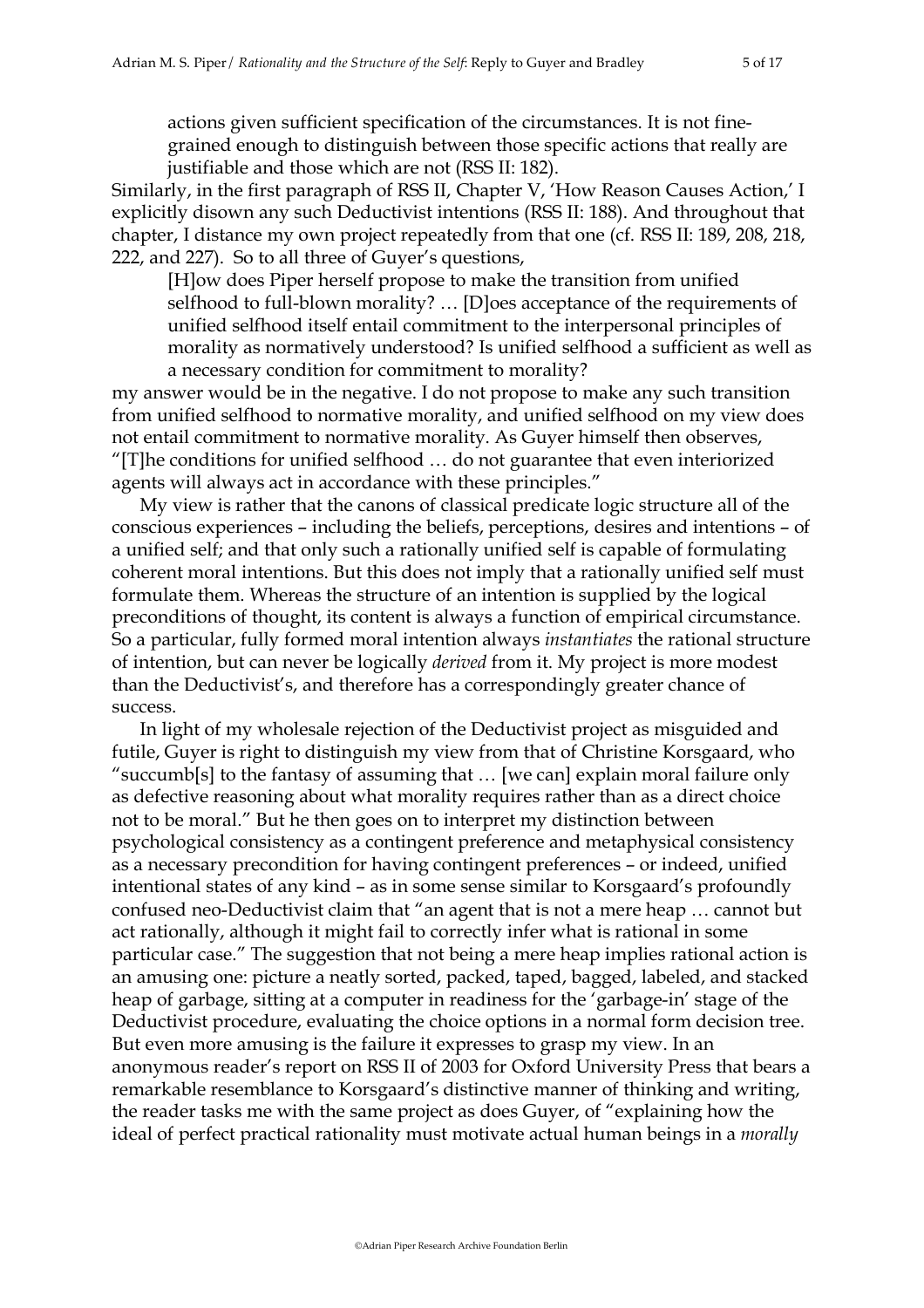actions given sufficient specification of the circumstances. It is not finegrained enough to distinguish between those specific actions that really are justifiable and those which are not (RSS II: 182).

Similarly, in the first paragraph of RSS II, Chapter V, 'How Reason Causes Action,' I explicitly disown any such Deductivist intentions (RSS II: 188). And throughout that chapter, I distance my own project repeatedly from that one (cf. RSS II: 189, 208, 218, 222, and 227). So to all three of Guyer's questions,

[H]ow does Piper herself propose to make the transition from unified selfhood to full-blown morality? … [D]oes acceptance of the requirements of unified selfhood itself entail commitment to the interpersonal principles of morality as normatively understood? Is unified selfhood a sufficient as well as a necessary condition for commitment to morality?

my answer would be in the negative. I do not propose to make any such transition from unified selfhood to normative morality, and unified selfhood on my view does not entail commitment to normative morality. As Guyer himself then observes, "[T]he conditions for unified selfhood … do not guarantee that even interiorized agents will always act in accordance with these principles."

My view is rather that the canons of classical predicate logic structure all of the conscious experiences – including the beliefs, perceptions, desires and intentions – of a unified self; and that only such a rationally unified self is capable of formulating coherent moral intentions. But this does not imply that a rationally unified self must formulate them. Whereas the structure of an intention is supplied by the logical preconditions of thought, its content is always a function of empirical circumstance. So a particular, fully formed moral intention always *instantiates* the rational structure of intention, but can never be logically *derived* from it. My project is more modest than the Deductivist's, and therefore has a correspondingly greater chance of success.

In light of my wholesale rejection of the Deductivist project as misguided and futile, Guyer is right to distinguish my view from that of Christine Korsgaard, who "succumb[s] to the fantasy of assuming that … [we can] explain moral failure only as defective reasoning about what morality requires rather than as a direct choice not to be moral." But he then goes on to interpret my distinction between psychological consistency as a contingent preference and metaphysical consistency as a necessary precondition for having contingent preferences – or indeed, unified intentional states of any kind – as in some sense similar to Korsgaard's profoundly confused neo-Deductivist claim that "an agent that is not a mere heap … cannot but act rationally, although it might fail to correctly infer what is rational in some particular case." The suggestion that not being a mere heap implies rational action is an amusing one: picture a neatly sorted, packed, taped, bagged, labeled, and stacked heap of garbage, sitting at a computer in readiness for the 'garbage-in' stage of the Deductivist procedure, evaluating the choice options in a normal form decision tree. But even more amusing is the failure it expresses to grasp my view. In an anonymous reader's report on RSS II of 2003 for Oxford University Press that bears a remarkable resemblance to Korsgaard's distinctive manner of thinking and writing, the reader tasks me with the same project as does Guyer, of "explaining how the ideal of perfect practical rationality must motivate actual human beings in a *morally*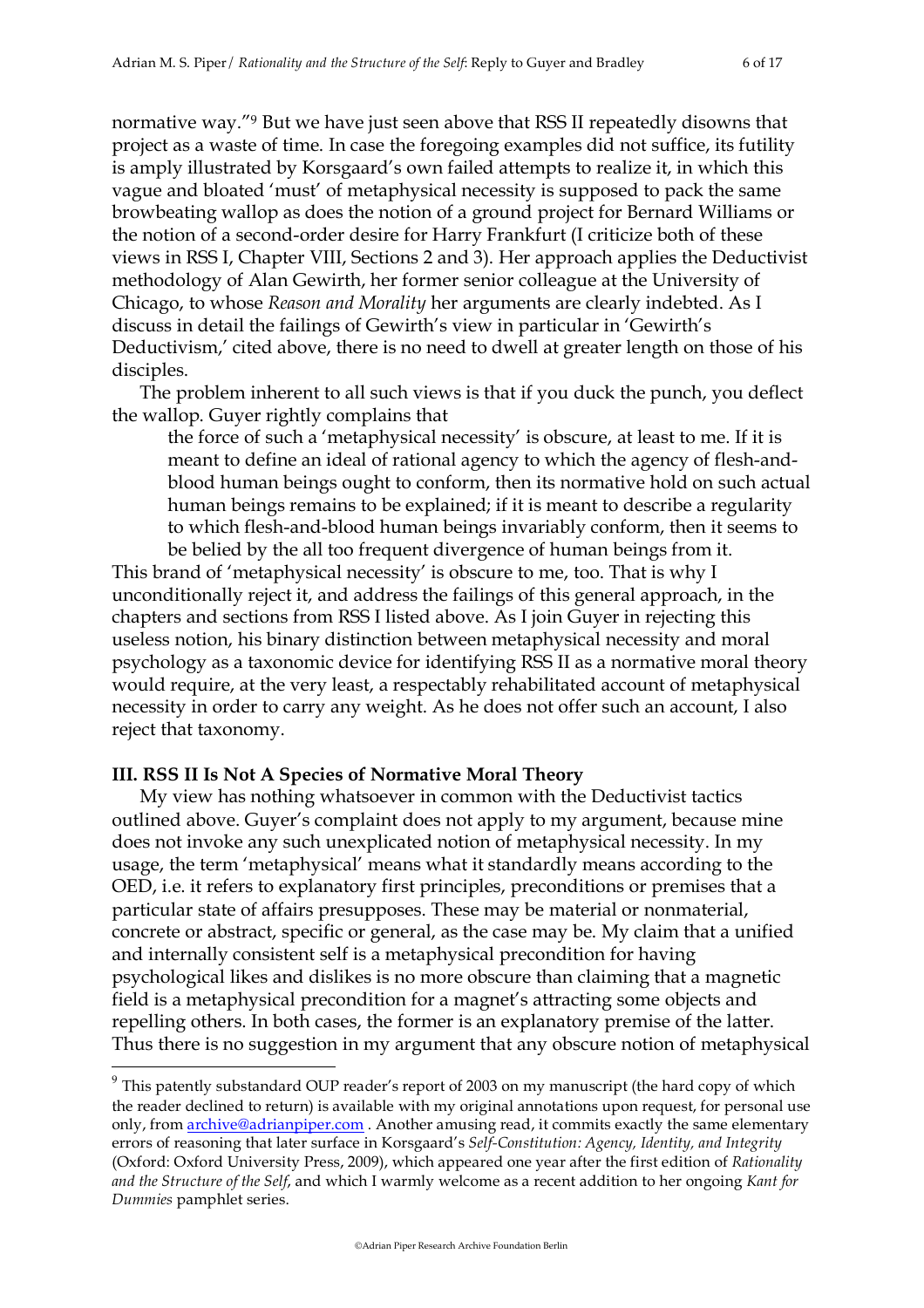normative way."9 But we have just seen above that RSS II repeatedly disowns that project as a waste of time. In case the foregoing examples did not suffice, its futility is amply illustrated by Korsgaard's own failed attempts to realize it, in which this vague and bloated 'must' of metaphysical necessity is supposed to pack the same browbeating wallop as does the notion of a ground project for Bernard Williams or the notion of a second-order desire for Harry Frankfurt (I criticize both of these views in RSS I, Chapter VIII, Sections 2 and 3). Her approach applies the Deductivist methodology of Alan Gewirth, her former senior colleague at the University of Chicago, to whose *Reason and Morality* her arguments are clearly indebted. As I discuss in detail the failings of Gewirth's view in particular in 'Gewirth's Deductivism,' cited above, there is no need to dwell at greater length on those of his disciples.

The problem inherent to all such views is that if you duck the punch, you deflect the wallop. Guyer rightly complains that

the force of such a 'metaphysical necessity' is obscure, at least to me. If it is meant to define an ideal of rational agency to which the agency of flesh-andblood human beings ought to conform, then its normative hold on such actual human beings remains to be explained; if it is meant to describe a regularity to which flesh-and-blood human beings invariably conform, then it seems to be belied by the all too frequent divergence of human beings from it.

This brand of 'metaphysical necessity' is obscure to me, too. That is why I unconditionally reject it, and address the failings of this general approach, in the chapters and sections from RSS I listed above. As I join Guyer in rejecting this useless notion, his binary distinction between metaphysical necessity and moral psychology as a taxonomic device for identifying RSS II as a normative moral theory would require, at the very least, a respectably rehabilitated account of metaphysical necessity in order to carry any weight. As he does not offer such an account, I also reject that taxonomy.

## **III. RSS II Is Not A Species of Normative Moral Theory**

My view has nothing whatsoever in common with the Deductivist tactics outlined above. Guyer's complaint does not apply to my argument, because mine does not invoke any such unexplicated notion of metaphysical necessity. In my usage, the term 'metaphysical' means what it standardly means according to the OED, i.e. it refers to explanatory first principles, preconditions or premises that a particular state of affairs presupposes. These may be material or nonmaterial, concrete or abstract, specific or general, as the case may be. My claim that a unified and internally consistent self is a metaphysical precondition for having psychological likes and dislikes is no more obscure than claiming that a magnetic field is a metaphysical precondition for a magnet's attracting some objects and repelling others. In both cases, the former is an explanatory premise of the latter. Thus there is no suggestion in my argument that any obscure notion of metaphysical

<sup>&</sup>lt;sup>9</sup> This patently substandard OUP reader's report of 2003 on my manuscript (the hard copy of which the reader declined to return) is available with my original annotations upon request, for personal use only, from **archive@adrianpiper.com** . Another amusing read, it commits exactly the same elementary errors of reasoning that later surface in Korsgaard's *Self-Constitution: Agency, Identity, and Integrity* (Oxford: Oxford University Press, 2009), which appeared one year after the first edition of *Rationality and the Structure of the Self*, and which I warmly welcome as a recent addition to her ongoing *Kant for Dummies* pamphlet series.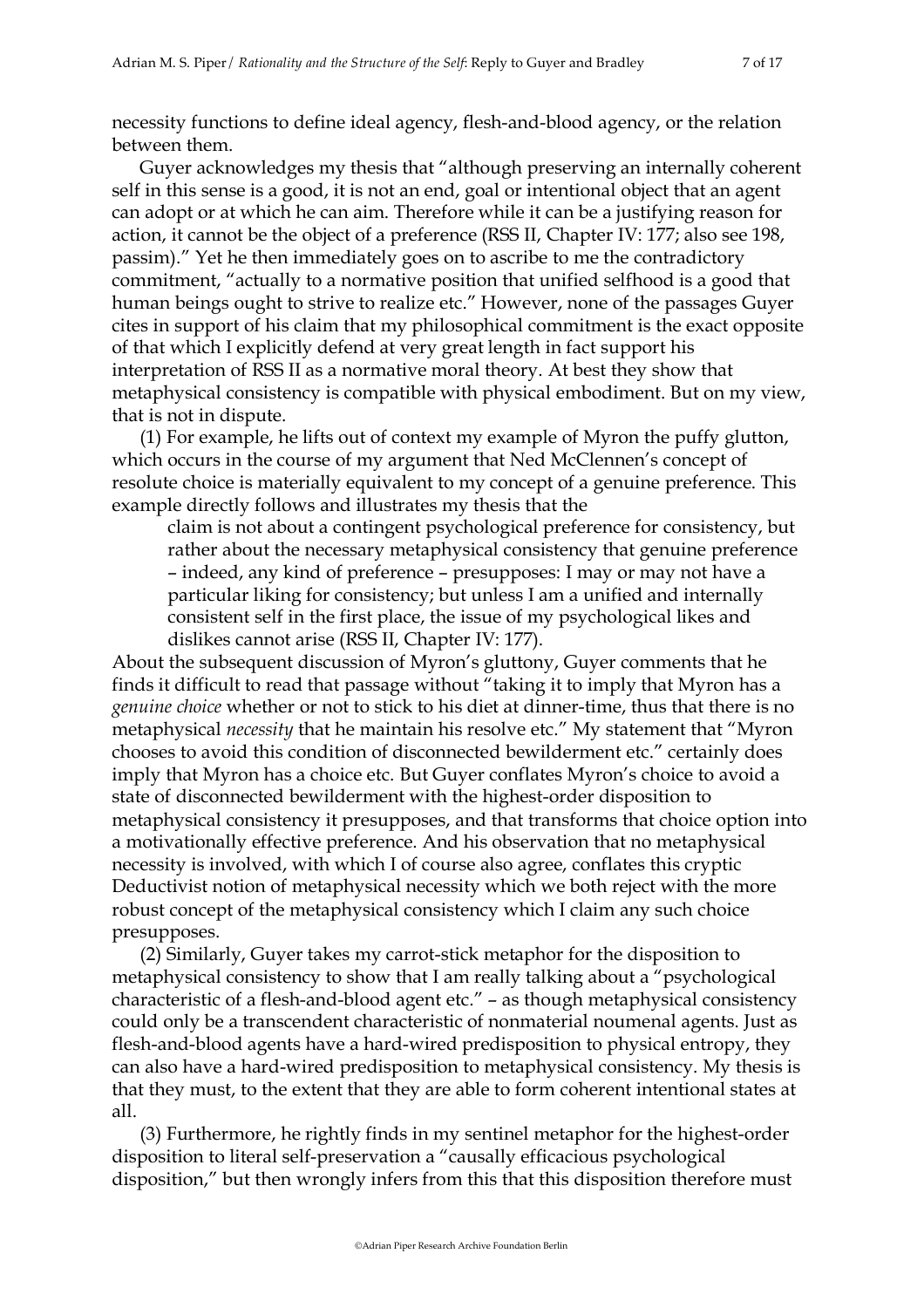necessity functions to define ideal agency, flesh-and-blood agency, or the relation between them.

Guyer acknowledges my thesis that "although preserving an internally coherent self in this sense is a good, it is not an end, goal or intentional object that an agent can adopt or at which he can aim. Therefore while it can be a justifying reason for action, it cannot be the object of a preference (RSS II, Chapter IV: 177; also see 198, passim)." Yet he then immediately goes on to ascribe to me the contradictory commitment, "actually to a normative position that unified selfhood is a good that human beings ought to strive to realize etc." However, none of the passages Guyer cites in support of his claim that my philosophical commitment is the exact opposite of that which I explicitly defend at very great length in fact support his interpretation of RSS II as a normative moral theory. At best they show that metaphysical consistency is compatible with physical embodiment. But on my view, that is not in dispute.

(1) For example, he lifts out of context my example of Myron the puffy glutton, which occurs in the course of my argument that Ned McClennen's concept of resolute choice is materially equivalent to my concept of a genuine preference. This example directly follows and illustrates my thesis that the

claim is not about a contingent psychological preference for consistency, but rather about the necessary metaphysical consistency that genuine preference – indeed, any kind of preference – presupposes: I may or may not have a particular liking for consistency; but unless I am a unified and internally consistent self in the first place, the issue of my psychological likes and dislikes cannot arise (RSS II, Chapter IV: 177).

About the subsequent discussion of Myron's gluttony, Guyer comments that he finds it difficult to read that passage without "taking it to imply that Myron has a *genuine choice* whether or not to stick to his diet at dinner-time, thus that there is no metaphysical *necessity* that he maintain his resolve etc." My statement that "Myron chooses to avoid this condition of disconnected bewilderment etc." certainly does imply that Myron has a choice etc. But Guyer conflates Myron's choice to avoid a state of disconnected bewilderment with the highest-order disposition to metaphysical consistency it presupposes, and that transforms that choice option into a motivationally effective preference. And his observation that no metaphysical necessity is involved, with which I of course also agree, conflates this cryptic Deductivist notion of metaphysical necessity which we both reject with the more robust concept of the metaphysical consistency which I claim any such choice presupposes.

(2) Similarly, Guyer takes my carrot-stick metaphor for the disposition to metaphysical consistency to show that I am really talking about a "psychological characteristic of a flesh-and-blood agent etc." – as though metaphysical consistency could only be a transcendent characteristic of nonmaterial noumenal agents. Just as flesh-and-blood agents have a hard-wired predisposition to physical entropy, they can also have a hard-wired predisposition to metaphysical consistency. My thesis is that they must, to the extent that they are able to form coherent intentional states at all.

(3) Furthermore, he rightly finds in my sentinel metaphor for the highest-order disposition to literal self-preservation a "causally efficacious psychological disposition," but then wrongly infers from this that this disposition therefore must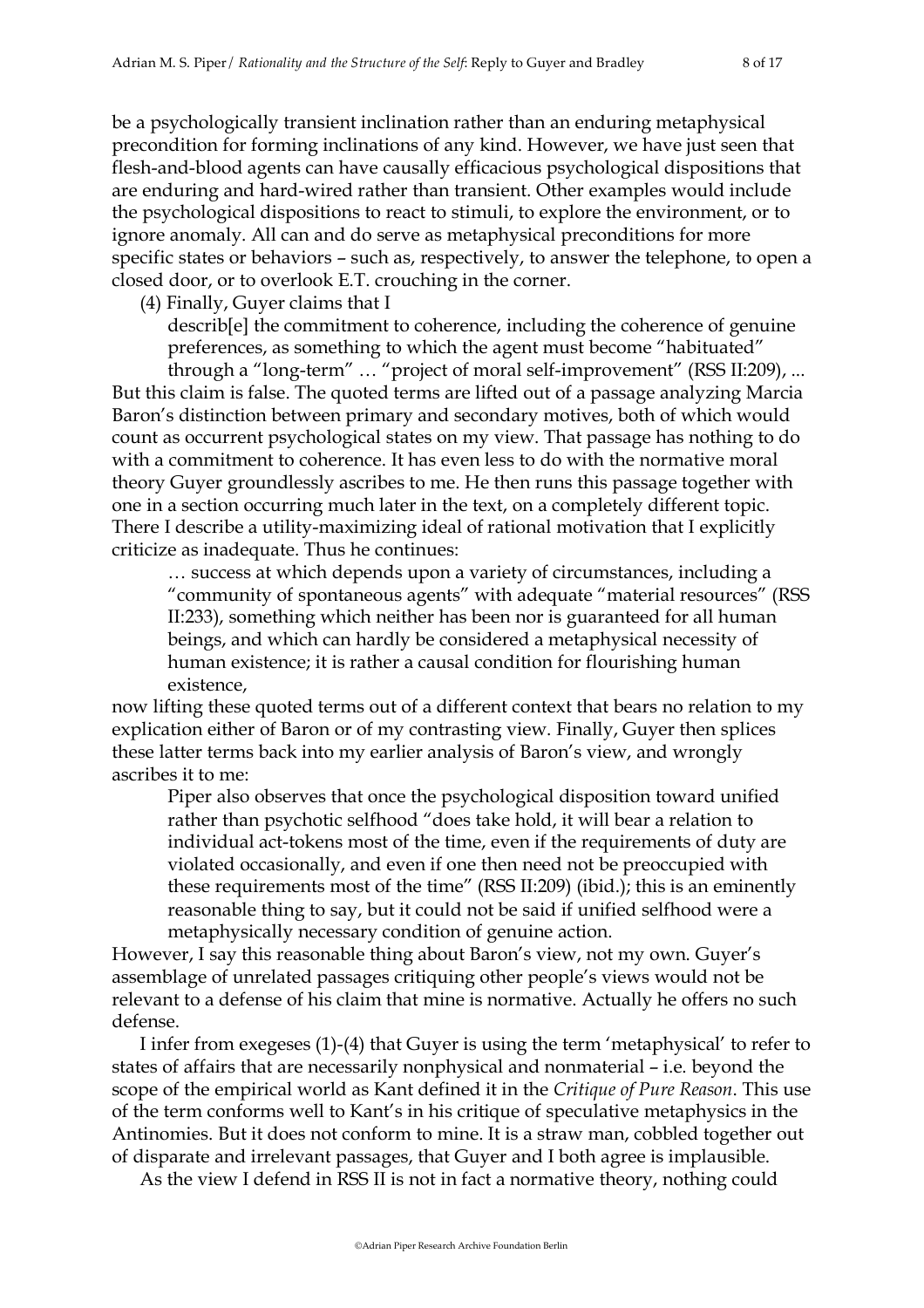be a psychologically transient inclination rather than an enduring metaphysical precondition for forming inclinations of any kind. However, we have just seen that flesh-and-blood agents can have causally efficacious psychological dispositions that are enduring and hard-wired rather than transient. Other examples would include the psychological dispositions to react to stimuli, to explore the environment, or to ignore anomaly. All can and do serve as metaphysical preconditions for more specific states or behaviors – such as, respectively, to answer the telephone, to open a closed door, or to overlook E.T. crouching in the corner.

(4) Finally, Guyer claims that I

describ[e] the commitment to coherence, including the coherence of genuine preferences, as something to which the agent must become "habituated"

through a "long-term" … "project of moral self-improvement" (RSS II:209), ... But this claim is false. The quoted terms are lifted out of a passage analyzing Marcia Baron's distinction between primary and secondary motives, both of which would count as occurrent psychological states on my view. That passage has nothing to do with a commitment to coherence. It has even less to do with the normative moral theory Guyer groundlessly ascribes to me. He then runs this passage together with one in a section occurring much later in the text, on a completely different topic. There I describe a utility-maximizing ideal of rational motivation that I explicitly criticize as inadequate. Thus he continues:

… success at which depends upon a variety of circumstances, including a "community of spontaneous agents" with adequate "material resources" (RSS II:233), something which neither has been nor is guaranteed for all human beings, and which can hardly be considered a metaphysical necessity of human existence; it is rather a causal condition for flourishing human existence,

now lifting these quoted terms out of a different context that bears no relation to my explication either of Baron or of my contrasting view. Finally, Guyer then splices these latter terms back into my earlier analysis of Baron's view, and wrongly ascribes it to me:

Piper also observes that once the psychological disposition toward unified rather than psychotic selfhood "does take hold, it will bear a relation to individual act-tokens most of the time, even if the requirements of duty are violated occasionally, and even if one then need not be preoccupied with these requirements most of the time" (RSS II:209) (ibid.); this is an eminently reasonable thing to say, but it could not be said if unified selfhood were a metaphysically necessary condition of genuine action.

However, I say this reasonable thing about Baron's view, not my own. Guyer's assemblage of unrelated passages critiquing other people's views would not be relevant to a defense of his claim that mine is normative. Actually he offers no such defense.

I infer from exegeses (1)-(4) that Guyer is using the term 'metaphysical' to refer to states of affairs that are necessarily nonphysical and nonmaterial – i.e. beyond the scope of the empirical world as Kant defined it in the *Critique of Pure Reason*. This use of the term conforms well to Kant's in his critique of speculative metaphysics in the Antinomies. But it does not conform to mine. It is a straw man, cobbled together out of disparate and irrelevant passages, that Guyer and I both agree is implausible.

As the view I defend in RSS II is not in fact a normative theory, nothing could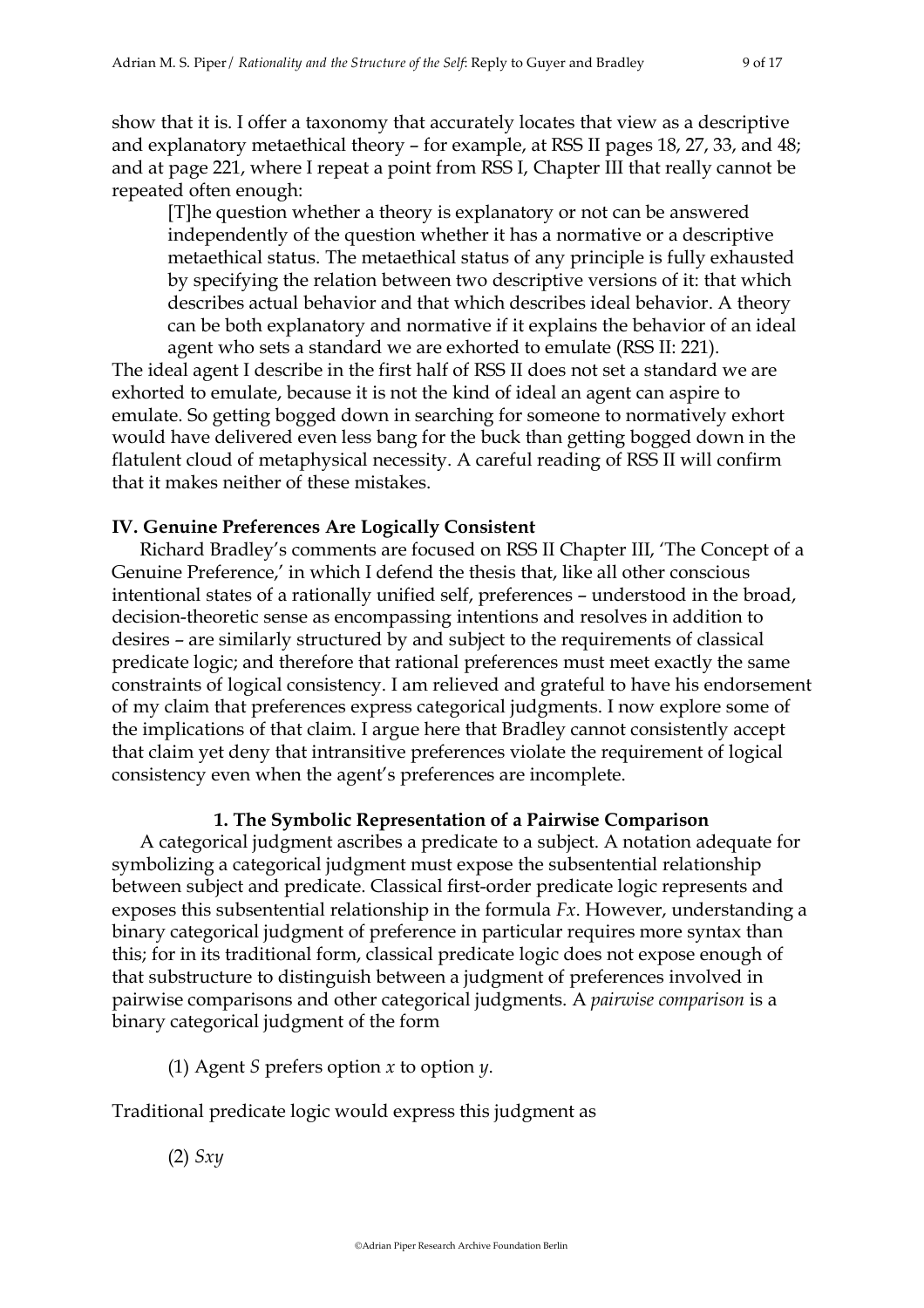show that it is. I offer a taxonomy that accurately locates that view as a descriptive and explanatory metaethical theory – for example, at RSS II pages 18, 27, 33, and 48; and at page 221, where I repeat a point from RSS I, Chapter III that really cannot be repeated often enough:

[T]he question whether a theory is explanatory or not can be answered independently of the question whether it has a normative or a descriptive metaethical status. The metaethical status of any principle is fully exhausted by specifying the relation between two descriptive versions of it: that which describes actual behavior and that which describes ideal behavior. A theory can be both explanatory and normative if it explains the behavior of an ideal agent who sets a standard we are exhorted to emulate (RSS II: 221).

The ideal agent I describe in the first half of RSS II does not set a standard we are exhorted to emulate, because it is not the kind of ideal an agent can aspire to emulate. So getting bogged down in searching for someone to normatively exhort would have delivered even less bang for the buck than getting bogged down in the flatulent cloud of metaphysical necessity. A careful reading of RSS II will confirm that it makes neither of these mistakes.

## **IV. Genuine Preferences Are Logically Consistent**

Richard Bradley's comments are focused on RSS II Chapter III, 'The Concept of a Genuine Preference,' in which I defend the thesis that, like all other conscious intentional states of a rationally unified self, preferences – understood in the broad, decision-theoretic sense as encompassing intentions and resolves in addition to desires – are similarly structured by and subject to the requirements of classical predicate logic; and therefore that rational preferences must meet exactly the same constraints of logical consistency. I am relieved and grateful to have his endorsement of my claim that preferences express categorical judgments. I now explore some of the implications of that claim. I argue here that Bradley cannot consistently accept that claim yet deny that intransitive preferences violate the requirement of logical consistency even when the agent's preferences are incomplete.

# **1. The Symbolic Representation of a Pairwise Comparison**

A categorical judgment ascribes a predicate to a subject. A notation adequate for symbolizing a categorical judgment must expose the subsentential relationship between subject and predicate. Classical first-order predicate logic represents and exposes this subsentential relationship in the formula *Fx*. However, understanding a binary categorical judgment of preference in particular requires more syntax than this; for in its traditional form, classical predicate logic does not expose enough of that substructure to distinguish between a judgment of preferences involved in pairwise comparisons and other categorical judgments. A *pairwise comparison* is a binary categorical judgment of the form

(1) Agent *S* prefers option *x* to option *y*.

Traditional predicate logic would express this judgment as

(2) *Sxy*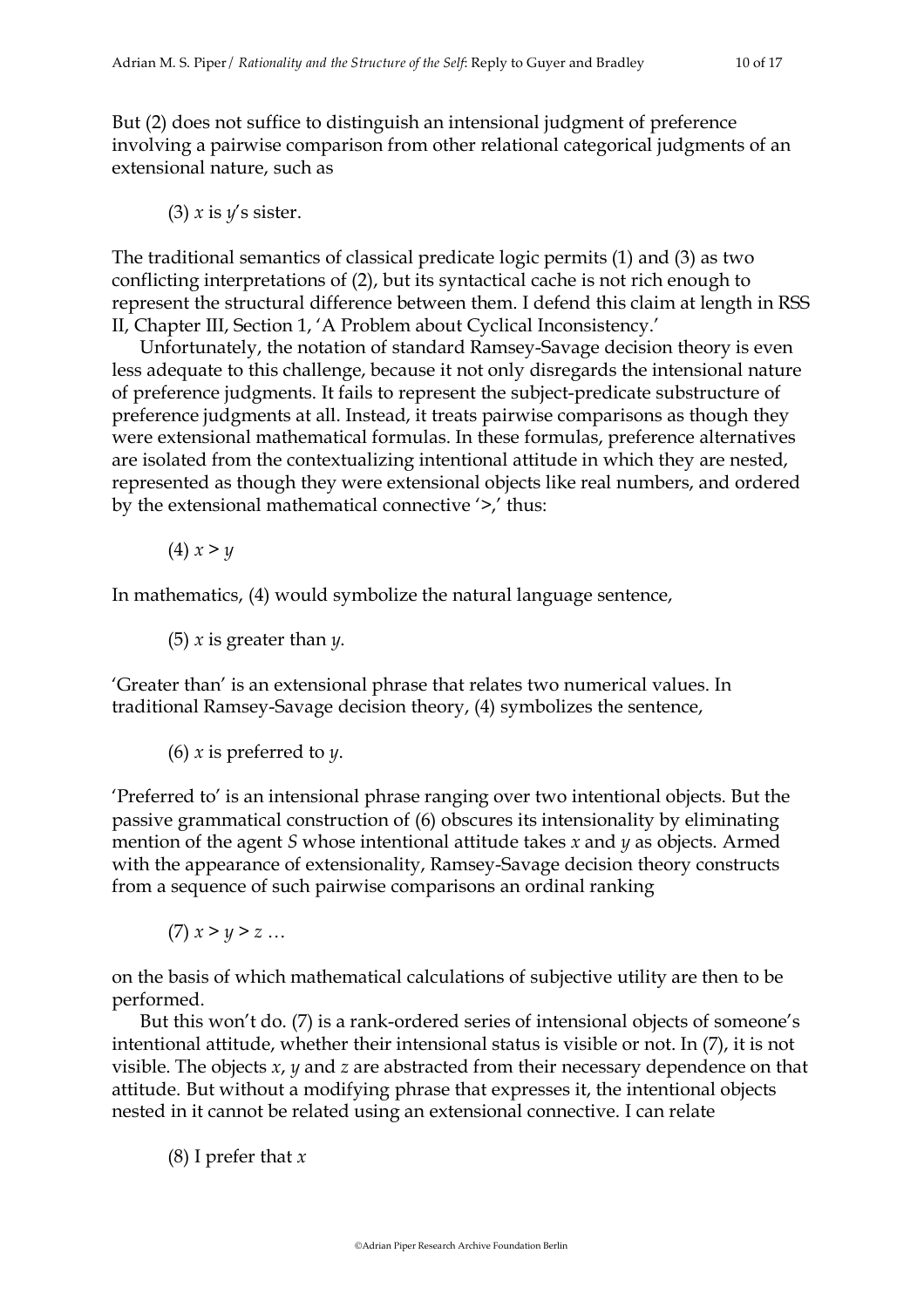But (2) does not suffice to distinguish an intensional judgment of preference involving a pairwise comparison from other relational categorical judgments of an extensional nature, such as

(3) *x* is *y*'s sister.

The traditional semantics of classical predicate logic permits (1) and (3) as two conflicting interpretations of (2), but its syntactical cache is not rich enough to represent the structural difference between them. I defend this claim at length in RSS II, Chapter III, Section 1, 'A Problem about Cyclical Inconsistency.'

Unfortunately, the notation of standard Ramsey-Savage decision theory is even less adequate to this challenge, because it not only disregards the intensional nature of preference judgments. It fails to represent the subject-predicate substructure of preference judgments at all. Instead, it treats pairwise comparisons as though they were extensional mathematical formulas. In these formulas, preference alternatives are isolated from the contextualizing intentional attitude in which they are nested, represented as though they were extensional objects like real numbers, and ordered by the extensional mathematical connective '>,' thus:

 $(4)$   $x > y$ 

In mathematics, (4) would symbolize the natural language sentence,

(5) *x* is greater than *y*.

'Greater than' is an extensional phrase that relates two numerical values. In traditional Ramsey-Savage decision theory, (4) symbolizes the sentence,

(6) *x* is preferred to *y*.

'Preferred to' is an intensional phrase ranging over two intentional objects. But the passive grammatical construction of (6) obscures its intensionality by eliminating mention of the agent *S* whose intentional attitude takes *x* and *y* as objects. Armed with the appearance of extensionality, Ramsey-Savage decision theory constructs from a sequence of such pairwise comparisons an ordinal ranking

 $(7)$   $x > y > z$  ...

on the basis of which mathematical calculations of subjective utility are then to be performed.

But this won't do. (7) is a rank-ordered series of intensional objects of someone's intentional attitude, whether their intensional status is visible or not. In (7), it is not visible. The objects *x*, *y* and *z* are abstracted from their necessary dependence on that attitude. But without a modifying phrase that expresses it, the intentional objects nested in it cannot be related using an extensional connective. I can relate

(8) I prefer that *x*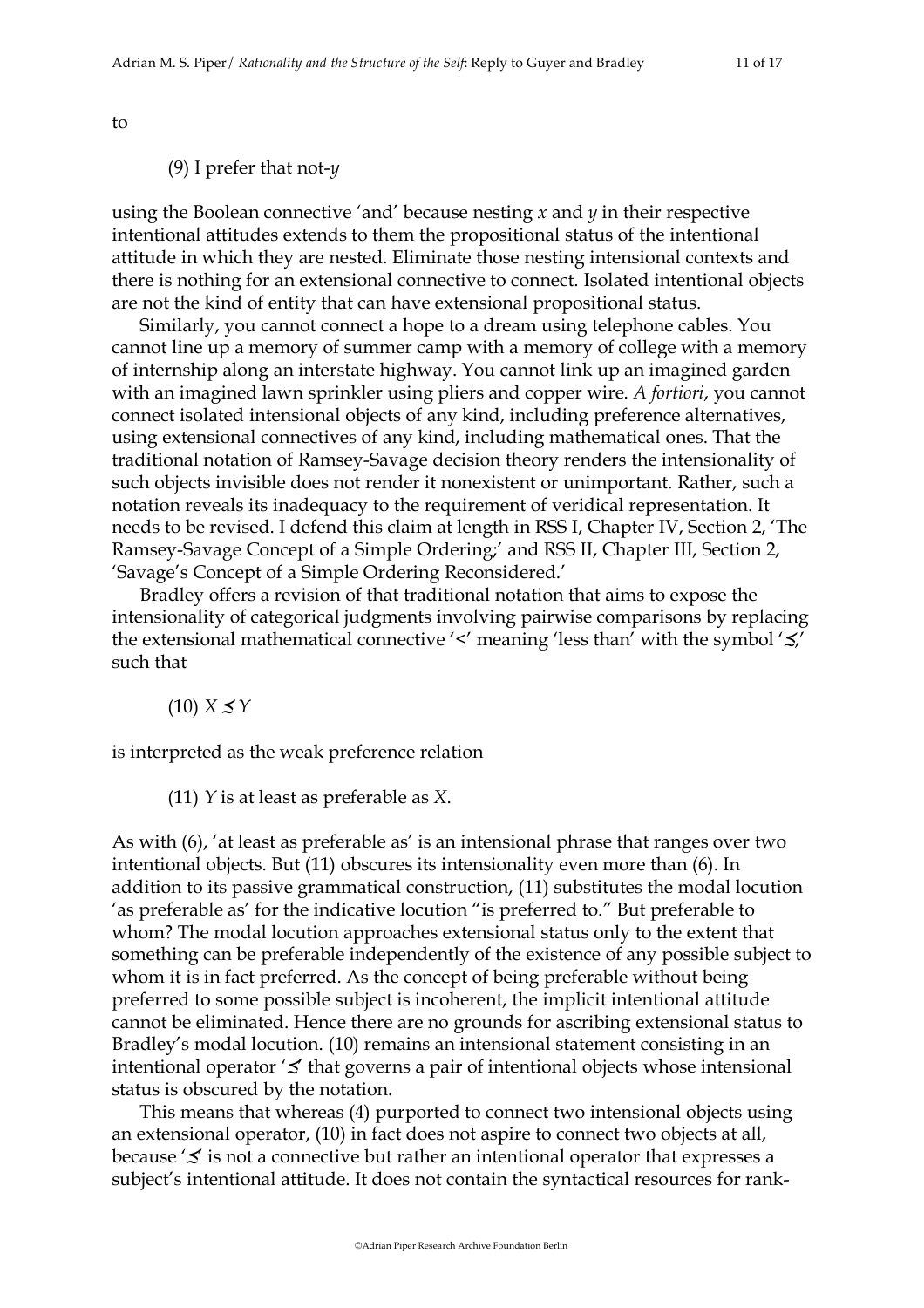to

### (9) I prefer that not-*y*

using the Boolean connective 'and' because nesting *x* and *y* in their respective intentional attitudes extends to them the propositional status of the intentional attitude in which they are nested. Eliminate those nesting intensional contexts and there is nothing for an extensional connective to connect. Isolated intentional objects are not the kind of entity that can have extensional propositional status.

Similarly, you cannot connect a hope to a dream using telephone cables. You cannot line up a memory of summer camp with a memory of college with a memory of internship along an interstate highway. You cannot link up an imagined garden with an imagined lawn sprinkler using pliers and copper wire. *A fortiori*, you cannot connect isolated intensional objects of any kind, including preference alternatives, using extensional connectives of any kind, including mathematical ones. That the traditional notation of Ramsey-Savage decision theory renders the intensionality of such objects invisible does not render it nonexistent or unimportant. Rather, such a notation reveals its inadequacy to the requirement of veridical representation. It needs to be revised. I defend this claim at length in RSS I, Chapter IV, Section 2, 'The Ramsey-Savage Concept of a Simple Ordering;' and RSS II, Chapter III, Section 2, 'Savage's Concept of a Simple Ordering Reconsidered.'

Bradley offers a revision of that traditional notation that aims to expose the intensionality of categorical judgments involving pairwise comparisons by replacing the extensional mathematical connective '<' meaning 'less than' with the symbol '≾,' such that

 $(10)$   $X \leq Y$ 

is interpreted as the weak preference relation

(11) *Y* is at least as preferable as *X*.

As with (6), 'at least as preferable as' is an intensional phrase that ranges over two intentional objects. But (11) obscures its intensionality even more than (6). In addition to its passive grammatical construction, (11) substitutes the modal locution 'as preferable as' for the indicative locution "is preferred to." But preferable to whom? The modal locution approaches extensional status only to the extent that something can be preferable independently of the existence of any possible subject to whom it is in fact preferred. As the concept of being preferable without being preferred to some possible subject is incoherent, the implicit intentional attitude cannot be eliminated. Hence there are no grounds for ascribing extensional status to Bradley's modal locution. (10) remains an intensional statement consisting in an intentional operator '≾' that governs a pair of intentional objects whose intensional status is obscured by the notation.

This means that whereas (4) purported to connect two intensional objects using an extensional operator, (10) in fact does not aspire to connect two objects at all, because '≾' is not a connective but rather an intentional operator that expresses a subject's intentional attitude. It does not contain the syntactical resources for rank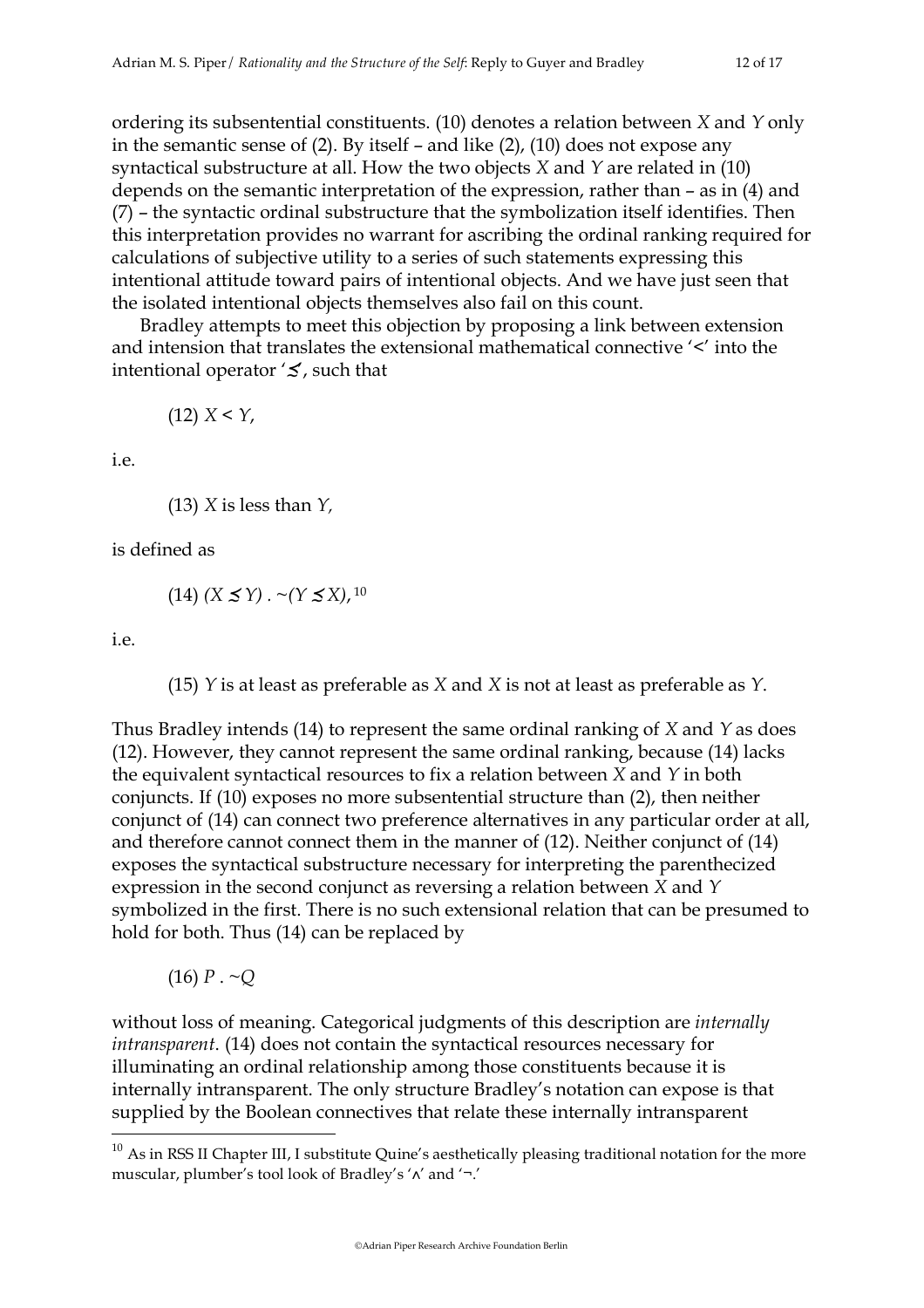ordering its subsentential constituents. (10) denotes a relation between *X* and *Y* only in the semantic sense of (2). By itself – and like (2), (10) does not expose any syntactical substructure at all. How the two objects *X* and *Y* are related in (10) depends on the semantic interpretation of the expression, rather than – as in (4) and (7) – the syntactic ordinal substructure that the symbolization itself identifies. Then this interpretation provides no warrant for ascribing the ordinal ranking required for calculations of subjective utility to a series of such statements expressing this intentional attitude toward pairs of intentional objects. And we have just seen that the isolated intentional objects themselves also fail on this count.

Bradley attempts to meet this objection by proposing a link between extension and intension that translates the extensional mathematical connective '<' into the intentional operator '≾', such that

 $(12)$   $X < Y$ ,

i.e.

(13) *X* is less than *Y,*

is defined as

 $(14)$  *(X ≤ Y)* . ~*(Y ≤ X)*, <sup>10</sup>

i.e.

(15) *Y* is at least as preferable as *X* and *X* is not at least as preferable as *Y*.

Thus Bradley intends (14) to represent the same ordinal ranking of *X* and *Y* as does (12). However, they cannot represent the same ordinal ranking, because (14) lacks the equivalent syntactical resources to fix a relation between *X* and *Y* in both conjuncts. If (10) exposes no more subsentential structure than (2), then neither conjunct of (14) can connect two preference alternatives in any particular order at all, and therefore cannot connect them in the manner of (12). Neither conjunct of (14) exposes the syntactical substructure necessary for interpreting the parenthecized expression in the second conjunct as reversing a relation between *X* and *Y* symbolized in the first. There is no such extensional relation that can be presumed to hold for both. Thus (14) can be replaced by

 $(16)$  *P* .  $\sim Q$ 

without loss of meaning. Categorical judgments of this description are *internally intransparent*. (14) does not contain the syntactical resources necessary for illuminating an ordinal relationship among those constituents because it is internally intransparent. The only structure Bradley's notation can expose is that supplied by the Boolean connectives that relate these internally intransparent

 $10$  As in RSS II Chapter III, I substitute Quine's aesthetically pleasing traditional notation for the more muscular, plumber's tool look of Bradley's '∧' and '¬.'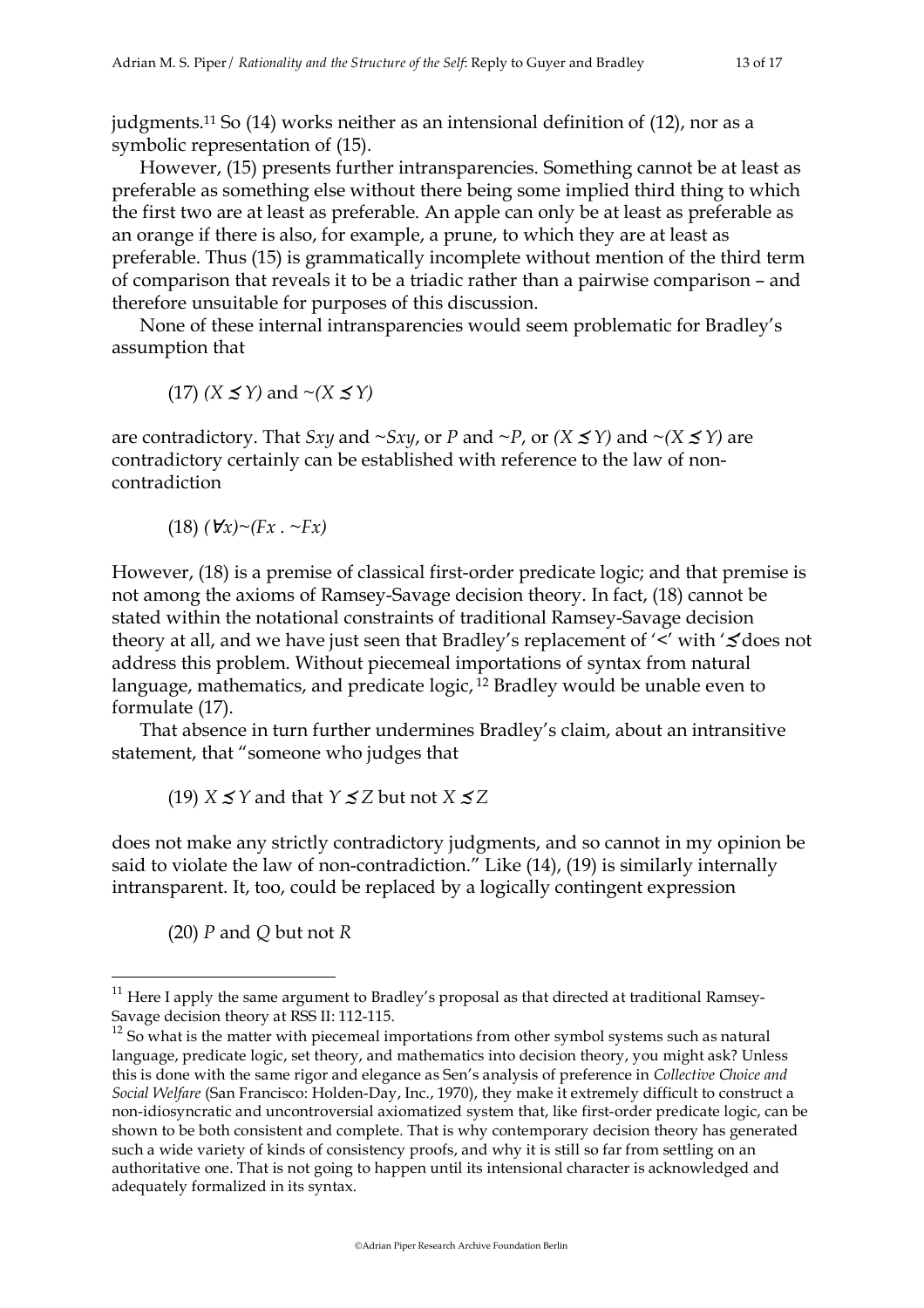judgments.11 So (14) works neither as an intensional definition of (12), nor as a symbolic representation of (15).

However, (15) presents further intransparencies. Something cannot be at least as preferable as something else without there being some implied third thing to which the first two are at least as preferable. An apple can only be at least as preferable as an orange if there is also, for example, a prune, to which they are at least as preferable. Thus (15) is grammatically incomplete without mention of the third term of comparison that reveals it to be a triadic rather than a pairwise comparison – and therefore unsuitable for purposes of this discussion.

None of these internal intransparencies would seem problematic for Bradley's assumption that

(17) 
$$
(X \le Y)
$$
 and  $\sim (X \le Y)$ 

are contradictory. That *Sxy* and  $\sim$  *Sxy*, or *P* and  $\sim$  *P*, or *(X*  $\leq$  *Y)* and  $\sim$  *(X*  $\leq$  *Y)* are contradictory certainly can be established with reference to the law of noncontradiction

$$
(18) (\forall x) \sim (Fx \cdot \sim Fx)
$$

However, (18) is a premise of classical first-order predicate logic; and that premise is not among the axioms of Ramsey-Savage decision theory. In fact, (18) cannot be stated within the notational constraints of traditional Ramsey-Savage decision theory at all, and we have just seen that Bradley's replacement of '<' with '≾'does not address this problem. Without piecemeal importations of syntax from natural language, mathematics, and predicate logic,<sup>12</sup> Bradley would be unable even to formulate (17).

That absence in turn further undermines Bradley's claim, about an intransitive statement, that "someone who judges that

(19) *X* ≤ *Y* and that *Y* ≤ *Z* but not *X* ≤ *Z* 

does not make any strictly contradictory judgments, and so cannot in my opinion be said to violate the law of non-contradiction." Like (14), (19) is similarly internally intransparent. It, too, could be replaced by a logically contingent expression

(20) *P* and *Q* but not *R*

 $11$  Here I apply the same argument to Bradley's proposal as that directed at traditional Ramsey-Savage decision theory at RSS II: 112-115.

 $12$  So what is the matter with piecemeal importations from other symbol systems such as natural language, predicate logic, set theory, and mathematics into decision theory, you might ask? Unless this is done with the same rigor and elegance as Sen's analysis of preference in *Collective Choice and Social Welfare* (San Francisco: Holden-Day, Inc., 1970), they make it extremely difficult to construct a non-idiosyncratic and uncontroversial axiomatized system that, like first-order predicate logic, can be shown to be both consistent and complete. That is why contemporary decision theory has generated such a wide variety of kinds of consistency proofs, and why it is still so far from settling on an authoritative one. That is not going to happen until its intensional character is acknowledged and adequately formalized in its syntax.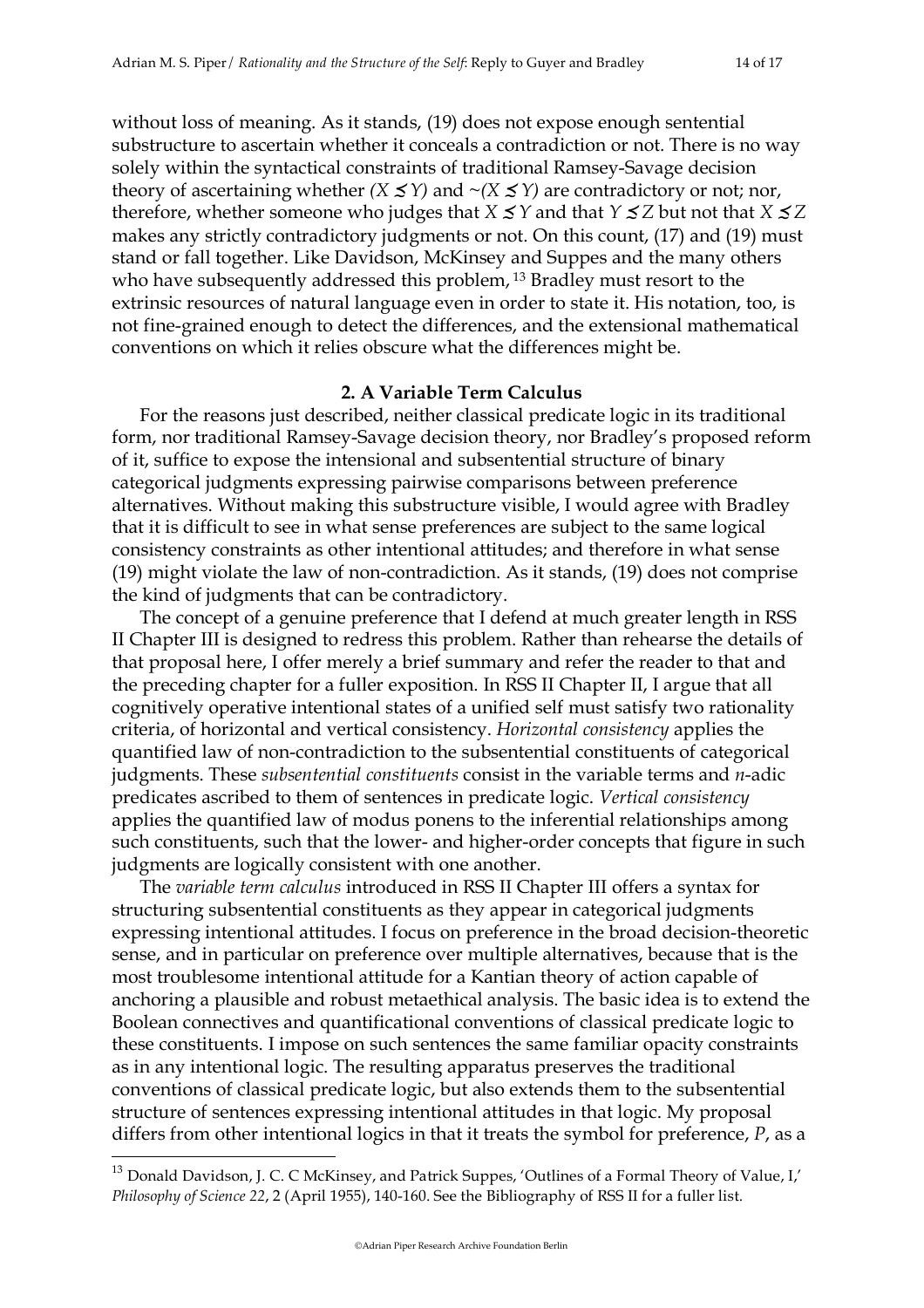without loss of meaning. As it stands, (19) does not expose enough sentential substructure to ascertain whether it conceals a contradiction or not. There is no way solely within the syntactical constraints of traditional Ramsey-Savage decision theory of ascertaining whether  $(X \leq Y)$  and  $\sim (X \leq Y)$  are contradictory or not; nor, therefore, whether someone who judges that *X*  $\leq$ *Y* and that *Y*  $\leq$ *Z* but not that *X*  $\leq$ *Z* makes any strictly contradictory judgments or not. On this count, (17) and (19) must stand or fall together. Like Davidson, McKinsey and Suppes and the many others who have subsequently addressed this problem, <sup>13</sup> Bradley must resort to the extrinsic resources of natural language even in order to state it. His notation, too, is not fine-grained enough to detect the differences, and the extensional mathematical conventions on which it relies obscure what the differences might be.

### **2. A Variable Term Calculus**

For the reasons just described, neither classical predicate logic in its traditional form, nor traditional Ramsey-Savage decision theory, nor Bradley's proposed reform of it, suffice to expose the intensional and subsentential structure of binary categorical judgments expressing pairwise comparisons between preference alternatives. Without making this substructure visible, I would agree with Bradley that it is difficult to see in what sense preferences are subject to the same logical consistency constraints as other intentional attitudes; and therefore in what sense (19) might violate the law of non-contradiction. As it stands, (19) does not comprise the kind of judgments that can be contradictory.

The concept of a genuine preference that I defend at much greater length in RSS II Chapter III is designed to redress this problem. Rather than rehearse the details of that proposal here, I offer merely a brief summary and refer the reader to that and the preceding chapter for a fuller exposition. In RSS II Chapter II, I argue that all cognitively operative intentional states of a unified self must satisfy two rationality criteria, of horizontal and vertical consistency. *Horizontal consistency* applies the quantified law of non-contradiction to the subsentential constituents of categorical judgments. These *subsentential constituents* consist in the variable terms and *n*-adic predicates ascribed to them of sentences in predicate logic. *Vertical consistency* applies the quantified law of modus ponens to the inferential relationships among such constituents, such that the lower- and higher-order concepts that figure in such judgments are logically consistent with one another.

The *variable term calculus* introduced in RSS II Chapter III offers a syntax for structuring subsentential constituents as they appear in categorical judgments expressing intentional attitudes. I focus on preference in the broad decision-theoretic sense, and in particular on preference over multiple alternatives, because that is the most troublesome intentional attitude for a Kantian theory of action capable of anchoring a plausible and robust metaethical analysis. The basic idea is to extend the Boolean connectives and quantificational conventions of classical predicate logic to these constituents. I impose on such sentences the same familiar opacity constraints as in any intentional logic. The resulting apparatus preserves the traditional conventions of classical predicate logic, but also extends them to the subsentential structure of sentences expressing intentional attitudes in that logic. My proposal differs from other intentional logics in that it treats the symbol for preference, *P*, as a

 $13$  Donald Davidson, J. C. C McKinsey, and Patrick Suppes, 'Outlines of a Formal Theory of Value, I,' *Philosophy of Science 22*, 2 (April 1955), 140-160. See the Bibliography of RSS II for a fuller list.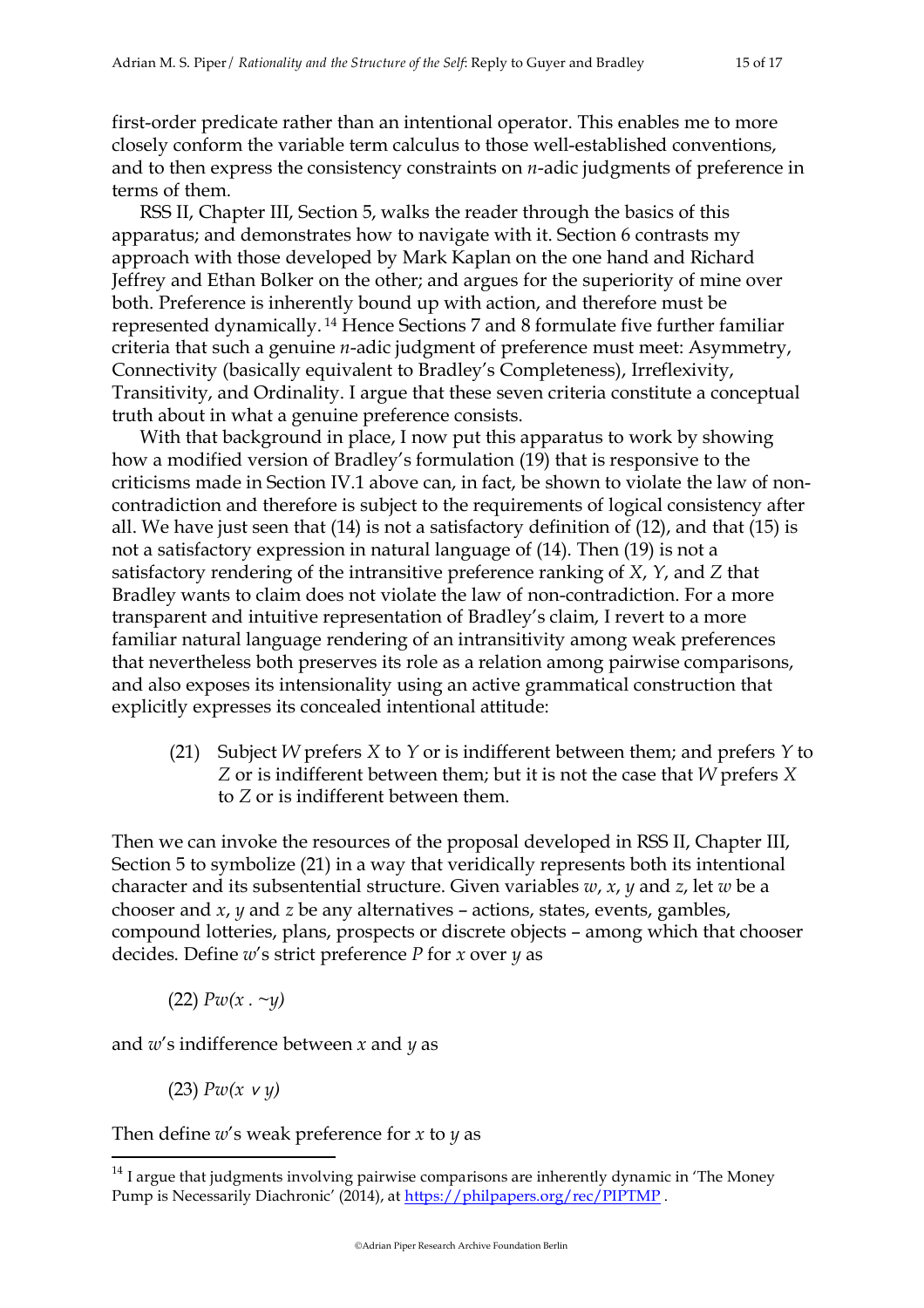first-order predicate rather than an intentional operator. This enables me to more closely conform the variable term calculus to those well-established conventions, and to then express the consistency constraints on *n*-adic judgments of preference in terms of them.

RSS II, Chapter III, Section 5, walks the reader through the basics of this apparatus; and demonstrates how to navigate with it. Section 6 contrasts my approach with those developed by Mark Kaplan on the one hand and Richard Jeffrey and Ethan Bolker on the other; and argues for the superiority of mine over both. Preference is inherently bound up with action, and therefore must be represented dynamically. 14 Hence Sections 7 and 8 formulate five further familiar criteria that such a genuine *n*-adic judgment of preference must meet: Asymmetry, Connectivity (basically equivalent to Bradley's Completeness), Irreflexivity, Transitivity, and Ordinality. I argue that these seven criteria constitute a conceptual truth about in what a genuine preference consists.

With that background in place, I now put this apparatus to work by showing how a modified version of Bradley's formulation (19) that is responsive to the criticisms made in Section IV.1 above can, in fact, be shown to violate the law of noncontradiction and therefore is subject to the requirements of logical consistency after all. We have just seen that (14) is not a satisfactory definition of (12), and that (15) is not a satisfactory expression in natural language of (14). Then (19) is not a satisfactory rendering of the intransitive preference ranking of *X*, *Y*, and *Z* that Bradley wants to claim does not violate the law of non-contradiction. For a more transparent and intuitive representation of Bradley's claim, I revert to a more familiar natural language rendering of an intransitivity among weak preferences that nevertheless both preserves its role as a relation among pairwise comparisons, and also exposes its intensionality using an active grammatical construction that explicitly expresses its concealed intentional attitude:

(21) Subject *W* prefers *X* to *Y* or is indifferent between them; and prefers *Y* to *Z* or is indifferent between them; but it is not the case that *W* prefers *X* to *Z* or is indifferent between them.

Then we can invoke the resources of the proposal developed in RSS II, Chapter III, Section 5 to symbolize (21) in a way that veridically represents both its intentional character and its subsentential structure. Given variables *w*, *x*, *y* and *z*, let *w* be a chooser and *x*, *y* and *z* be any alternatives – actions, states, events, gambles, compound lotteries, plans, prospects or discrete objects – among which that chooser decides. Define *w*'s strict preference *P* for *x* over *y* as

(22) *Pw(x . ~y)*

and *w*'s indifference between *x* and *y* as

(23) *Pw(x* ∨ *y)*

Then define *w*'s weak preference for *x* to *y* as

 $14$  I argue that judgments involving pairwise comparisons are inherently dynamic in 'The Money Pump is Necessarily Diachronic' (2014), at https://philpapers.org/rec/PIPTMP.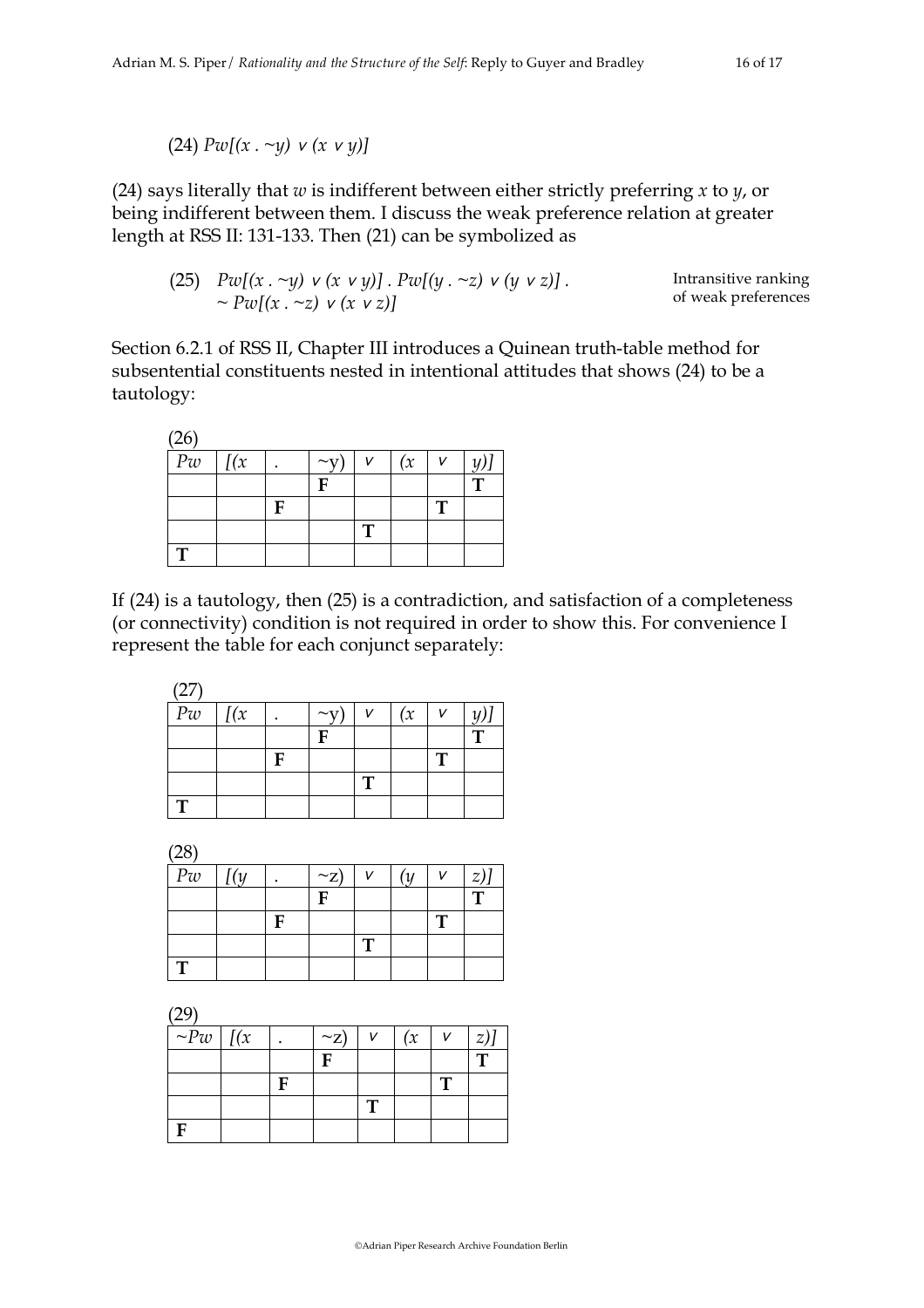(24) *Pw[(x . ~y)* ∨ *(x* ∨ *y)]*

(24) says literally that *w* is indifferent between either strictly preferring *x* to *y*, or being indifferent between them. I discuss the weak preference relation at greater length at RSS II: 131-133. Then (21) can be symbolized as

(25) *Pw[(x . ~y)* ∨ *(x* ∨ *y)] . Pw[(y . ~z)* ∨ *(y* ∨ *z)] . ~ Pw[(x . ~z)* ∨ *(x* ∨ *z)]* Intransitive ranking of weak preferences

Section 6.2.1 of RSS II, Chapter III introduces a Quinean truth-table method for subsentential constituents nested in intentional attitudes that shows (24) to be a tautology:

| (26)            |           |   |                  |   |     |              |   |
|-----------------|-----------|---|------------------|---|-----|--------------|---|
| $\overline{P}w$ | $\int (x$ |   | $\sim$ $\bar{v}$ |   | (x) |              |   |
|                 |           |   | F                |   |     |              | т |
|                 |           | F |                  |   |     | $\mathbf{T}$ |   |
|                 |           |   |                  | т |     |              |   |
| т               |           |   |                  |   |     |              |   |

If (24) is a tautology, then (25) is a contradiction, and satisfaction of a completeness (or connectivity) condition is not required in order to show this. For convenience I represent the table for each conjunct separately:

(27)

| $P\boldsymbol{w}$ | $\int$ $(x)$ |   | $\sim_V$ | V | (x) | $\mathsf{V}$ |   |
|-------------------|--------------|---|----------|---|-----|--------------|---|
|                   |              |   | E        |   |     |              | т |
|                   |              | E |          |   |     | п            |   |
|                   |              |   |          | ா |     |              |   |
| п                 |              |   |          |   |     |              |   |

 $(28)$ 

| رت∟ |     |   |            |   |    |              |              |
|-----|-----|---|------------|---|----|--------------|--------------|
| Pw  | [(y |   | $\sim_Z$ ) |   | (y | $\mathbf{v}$ | $z)$ ]       |
|     |     |   | F          |   |    |              | $\mathbf{T}$ |
|     |     | F |            |   |    | $\mathbf T$  |              |
|     |     |   |            | m |    |              |              |
| т   |     |   |            |   |    |              |              |

 $(29)$ 

| $\sim$         |   |            |     |               |
|----------------|---|------------|-----|---------------|
| $\sim Pw$ $(x$ |   | $\sim_Z$ ) | (x) | $\mathcal{Z}$ |
|                |   |            |     |               |
|                | E |            |     |               |
|                |   |            |     |               |
|                |   |            |     |               |